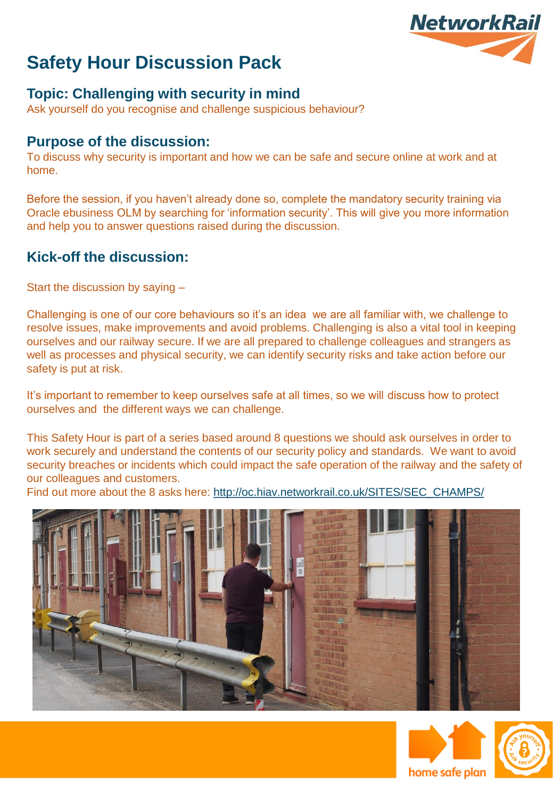

#### **Topic: Challenging with security in mind**

Ask yourself do you recognise and challenge suspicious behaviour?

#### **Purpose of the discussion:**

To discuss why security is important and how we can be safe and secure online at work and at home.

Before the session, if you haven't already done so, complete the mandatory security training via Oracle ebusiness OLM by searching for 'information security'. This will give you more information and help you to answer questions raised during the discussion.

#### **Kick-off the discussion:**

Start the discussion by saying –

Challenging is one of our core behaviours so it's an idea we are all familiar with, we challenge to resolve issues, make improvements and avoid problems. Challenging is also a vital tool in keeping ourselves and our railway secure. If we are all prepared to challenge colleagues and strangers as well as processes and physical security, we can identify security risks and take action before our safety is put at risk.

It's important to remember to keep ourselves safe at all times, so we will discuss how to protect ourselves and the different ways we can challenge.

This Safety Hour is part of a series based around 8 questions we should ask ourselves in order to work securely and understand the contents of our security policy and standards. We want to avoid security breaches or incidents which could impact the safe operation of the railway and the safety of our colleagues and customers.

Find out more about the 8 asks here: [http://oc.hiav.networkrail.co.uk/SITES/SEC\\_CHAMPS/](http://oc.hiav.networkrail.co.uk/SITES/SEC_CHAMPS/)





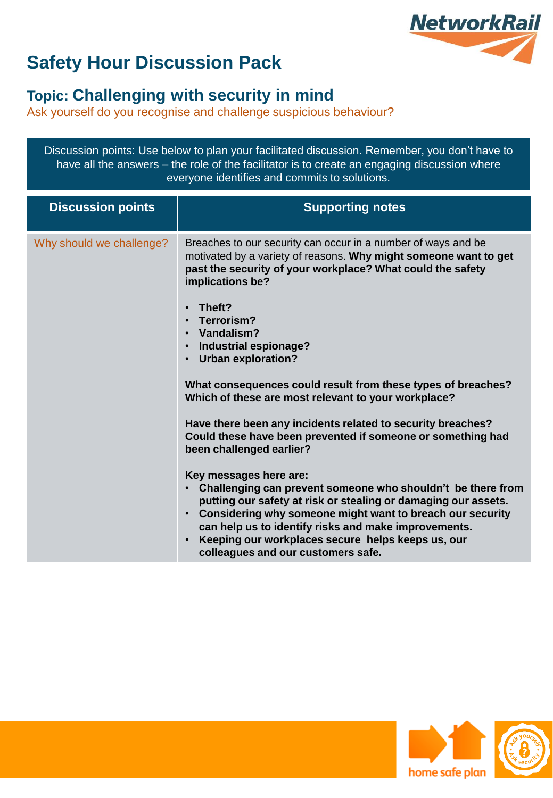

### **Topic: Challenging with security in mind**

Ask yourself do you recognise and challenge suspicious behaviour?

Discussion points: Use below to plan your facilitated discussion. Remember, you don't have to have all the answers – the role of the facilitator is to create an engaging discussion where everyone identifies and commits to solutions.

| <b>Discussion points</b> | <b>Supporting notes</b>                                                                                                                                                                                                                                                                                                                                                                                                                                                                                                                                                                                                                                                                                                                                                                                                                                                                                                                                                           |
|--------------------------|-----------------------------------------------------------------------------------------------------------------------------------------------------------------------------------------------------------------------------------------------------------------------------------------------------------------------------------------------------------------------------------------------------------------------------------------------------------------------------------------------------------------------------------------------------------------------------------------------------------------------------------------------------------------------------------------------------------------------------------------------------------------------------------------------------------------------------------------------------------------------------------------------------------------------------------------------------------------------------------|
| Why should we challenge? | Breaches to our security can occur in a number of ways and be<br>motivated by a variety of reasons. Why might someone want to get<br>past the security of your workplace? What could the safety<br>implications be?<br>Theft?<br>Terrorism?<br>Vandalism?<br>Industrial espionage?<br>$\bullet$<br>Urban exploration?<br>What consequences could result from these types of breaches?<br>Which of these are most relevant to your workplace?<br>Have there been any incidents related to security breaches?<br>Could these have been prevented if someone or something had<br>been challenged earlier?<br>Key messages here are:<br>Challenging can prevent someone who shouldn't be there from<br>putting our safety at risk or stealing or damaging our assets.<br>Considering why someone might want to breach our security<br>can help us to identify risks and make improvements.<br>Keeping our workplaces secure helps keeps us, our<br>colleagues and our customers safe. |



/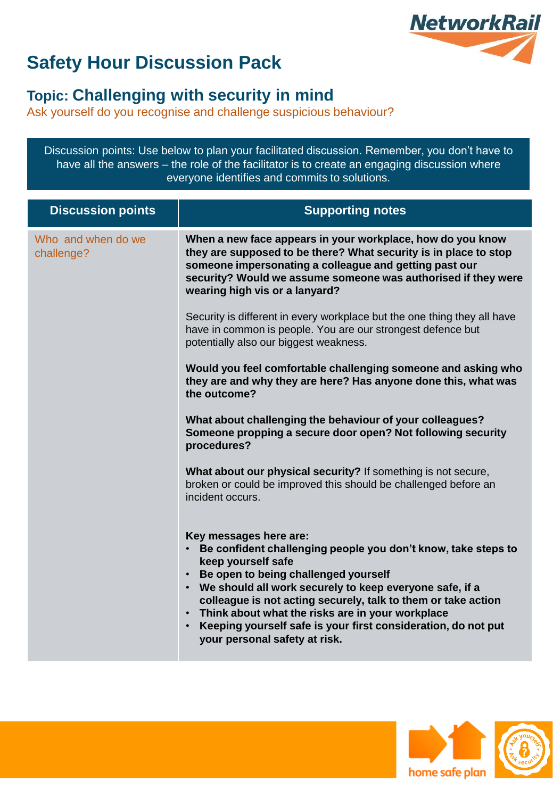

### **Topic: Challenging with security in mind**

Ask yourself do you recognise and challenge suspicious behaviour?

Discussion points: Use below to plan your facilitated discussion. Remember, you don't have to have all the answers – the role of the facilitator is to create an engaging discussion where everyone identifies and commits to solutions.

| <b>Discussion points</b>         | <b>Supporting notes</b>                                                                                                                                                                                                                                                                                                                                                                                                                                                                     |
|----------------------------------|---------------------------------------------------------------------------------------------------------------------------------------------------------------------------------------------------------------------------------------------------------------------------------------------------------------------------------------------------------------------------------------------------------------------------------------------------------------------------------------------|
| Who and when do we<br>challenge? | When a new face appears in your workplace, how do you know<br>they are supposed to be there? What security is in place to stop<br>someone impersonating a colleague and getting past our<br>security? Would we assume someone was authorised if they were<br>wearing high vis or a lanyard?                                                                                                                                                                                                 |
|                                  | Security is different in every workplace but the one thing they all have<br>have in common is people. You are our strongest defence but<br>potentially also our biggest weakness.                                                                                                                                                                                                                                                                                                           |
|                                  | Would you feel comfortable challenging someone and asking who<br>they are and why they are here? Has anyone done this, what was<br>the outcome?                                                                                                                                                                                                                                                                                                                                             |
|                                  | What about challenging the behaviour of your colleagues?<br>Someone propping a secure door open? Not following security<br>procedures?                                                                                                                                                                                                                                                                                                                                                      |
|                                  | What about our physical security? If something is not secure,<br>broken or could be improved this should be challenged before an<br>incident occurs.                                                                                                                                                                                                                                                                                                                                        |
|                                  | Key messages here are:<br>Be confident challenging people you don't know, take steps to<br>keep yourself safe<br>Be open to being challenged yourself<br>$\bullet$<br>We should all work securely to keep everyone safe, if a<br>$\bullet$<br>colleague is not acting securely, talk to them or take action<br>Think about what the risks are in your workplace<br>$\bullet$<br>Keeping yourself safe is your first consideration, do not put<br>$\bullet$<br>your personal safety at risk. |